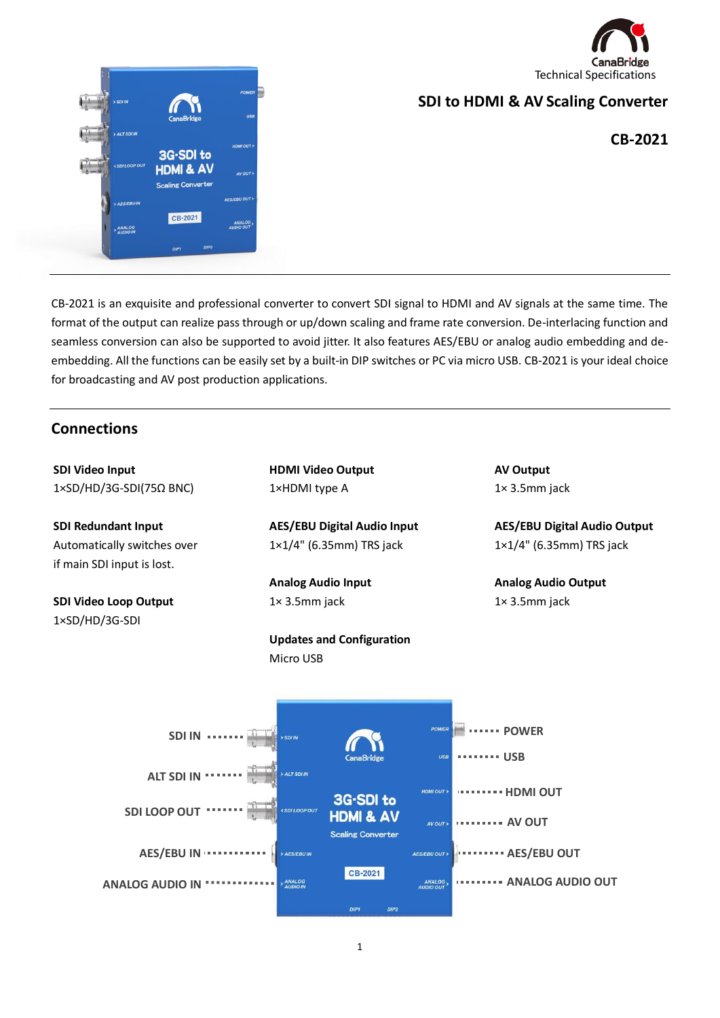



# **SDI to HDMI & AV Scaling Converter**

**CB-2021**

CB-2021 is an exquisite and professional converter to convert SDI signal to HDMI and AV signals at the same time. The format of the output can realize pass through or up/down scaling and frame rate conversion. De-interlacing function and seamless conversion can also be supported to avoid jitter. It also features AES/EBU or analog audio embedding and deembedding. All the functions can be easily set by a built-in DIP switches or PC via micro USB. CB-2021 is your ideal choice for broadcasting and AV post production applications.

### **Connections**

**SDI Video Input** 1×SD/HD/3G-SDI(75Ω BNC)

**SDI Redundant Input** Automatically switches over if main SDI input is lost.

**SDI Video Loop Output** 1×SD/HD/3G-SDI

**HDMI Video Output** 1×HDMI type A

**AES/EBU Digital Audio Input** 1×1/4" (6.35mm) TRS jack

**Analog Audio Input** 1× 3.5mm jack

**Updates and Configuration** Micro USB

**AV Output** 1× 3.5mm jack

**AES/EBU Digital Audio Output** 1×1/4" (6.35mm) TRS jack

**Analog Audio Output** 1× 3.5mm jack

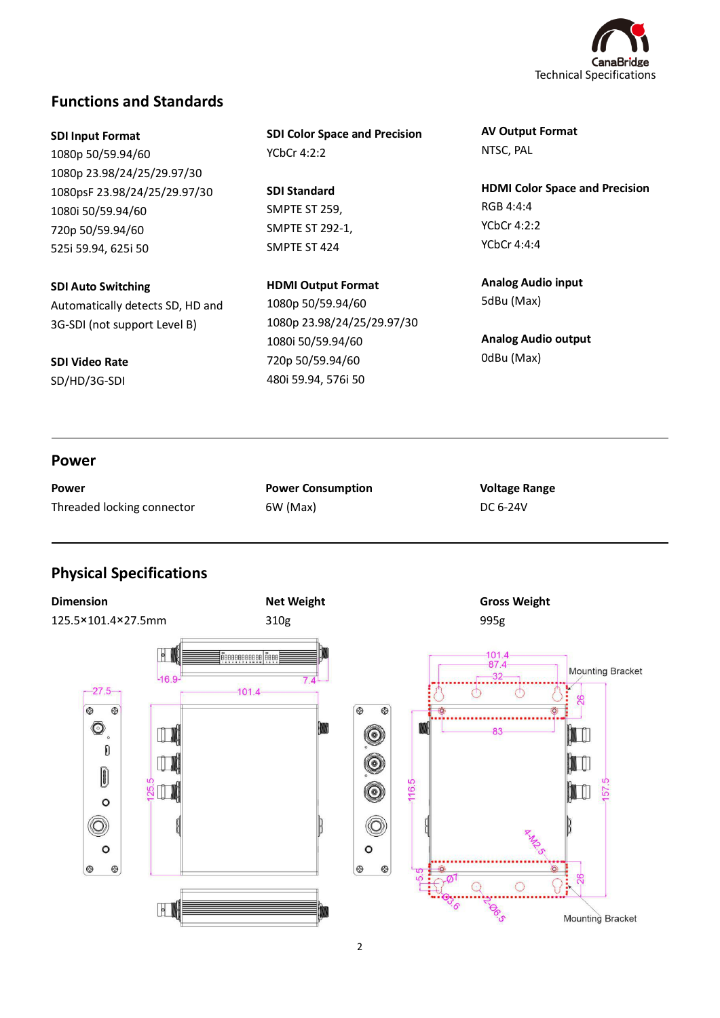

## **Functions and Standards**

**SDI Input Format** 1080p 50/59.94/60 1080p 23.98/24/25/29.97/30 1080psF 23.98/24/25/29.97/30 1080i 50/59.94/60 720p 50/59.94/60 525i 59.94, 625i 50

**SDI Auto Switching**

Automatically detects SD, HD and 3G-SDI (not support Level B)

**SDI Video Rate**

SD/HD/3G-SDI

**SDI Color Space and Precision** YCbCr 4:2:2

**SDI Standard** SMPTE ST 259, SMPTE ST 292-1, SMPTE ST 424

**HDMI Output Format** 1080p 50/59.94/60 1080p 23.98/24/25/29.97/30 1080i 50/59.94/60 720p 50/59.94/60 480i 59.94, 576i 50

**AV Output Format** NTSC, PAL

**HDMI Color Space and Precision** RGB 4:4:4 YCbCr 4:2:2 YCbCr 4:4:4

**Analog Audio input** 5dBu (Max)

**Analog Audio output** 0dBu (Max)

### **Power**

L

l

| Power                      |  |
|----------------------------|--|
| Threaded locking connector |  |

**Power Consumption** 6W (Max)

**Voltage Range** DC 6-24V

## **Physical Specifications**

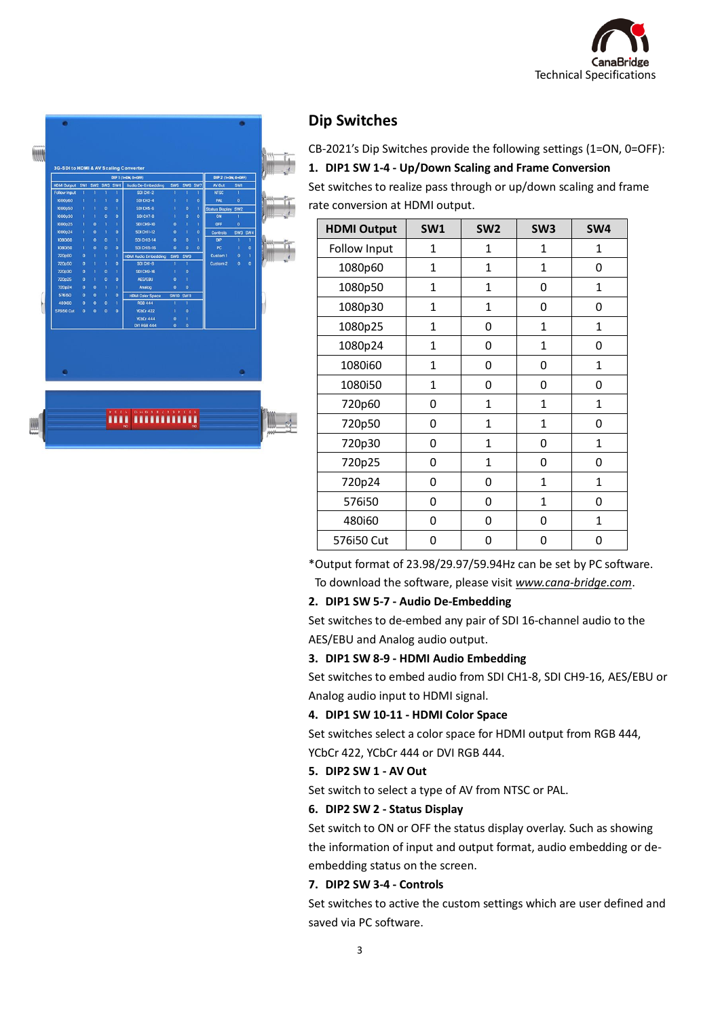



## **Dip Switches**

CB-2021's Dip Switches provide the following settings (1=ON, 0=OFF): **1. DIP1 SW 1-4 - Up/Down Scaling and Frame Conversion**

Set switches to realize pass through or up/down scaling and frame rate conversion at HDMI output.

| <b>HDMI Output</b> | <b>SW1</b>   | SW <sub>2</sub> | SW <sub>3</sub> | SW4          |
|--------------------|--------------|-----------------|-----------------|--------------|
| Follow Input       | 1            | 1               | $\mathbf{1}$    | 1            |
| 1080p60            | $\mathbf{1}$ | $\mathbf{1}$    | $\mathbf{1}$    | 0            |
| 1080p50            | $\mathbf 1$  | 1               | 0               | 1            |
| 1080p30            | $\mathbf{1}$ | 1               | 0               | 0            |
| 1080p25            | 1            | 0               | $\mathbf{1}$    | $\mathbf 1$  |
| 1080p24            | $\mathbf{1}$ | 0               | $\mathbf{1}$    | 0            |
| 1080i60            | $\mathbf{1}$ | 0               | 0               | 1            |
| 1080i50            | 1            | 0               | 0               | 0            |
| 720p60             | 0            | $\mathbf{1}$    | $\mathbf{1}$    | 1            |
| 720p50             | 0            | 1               | $\mathbf{1}$    | 0            |
| 720p30             | 0            | $\mathbf{1}$    | 0               | 1            |
| 720p25             | 0            | 1               | 0               | 0            |
| 720p24             | 0            | 0               | $\mathbf{1}$    | $\mathbf 1$  |
| 576i50             | 0            | 0               | $\mathbf{1}$    | 0            |
| 480i60             | 0            | 0               | 0               | $\mathbf{1}$ |
| 576i50 Cut         | 0            | 0               | 0               | 0            |

\*Output format of 23.98/29.97/59.94Hz can be set by PC software. To download the software, please visit *www.cana-bridge.com*.

### **2. DIP1 SW 5-7 - Audio De-Embedding**

Set switches to de-embed any pair of SDI 16-channel audio to the AES/EBU and Analog audio output.

### **3. DIP1 SW 8-9 - HDMI Audio Embedding**

Set switches to embed audio from SDI CH1-8, SDI CH9-16, AES/EBU or Analog audio input to HDMI signal.

### **4. DIP1 SW 10-11 - HDMI Color Space**

Set switches select a color space for HDMI output from RGB 444, YCbCr 422, YCbCr 444 or DVI RGB 444.

### **5. DIP2 SW 1 - AV Out**

Set switch to select a type of AV from NTSC or PAL.

### **6. DIP2 SW 2 - Status Display**

Set switch to ON or OFF the status display overlay. Such as showing the information of input and output format, audio embedding or deembedding status on the screen.

### **7. DIP2 SW 3-4 - Controls**

Set switches to active the custom settings which are user defined and saved via PC software.